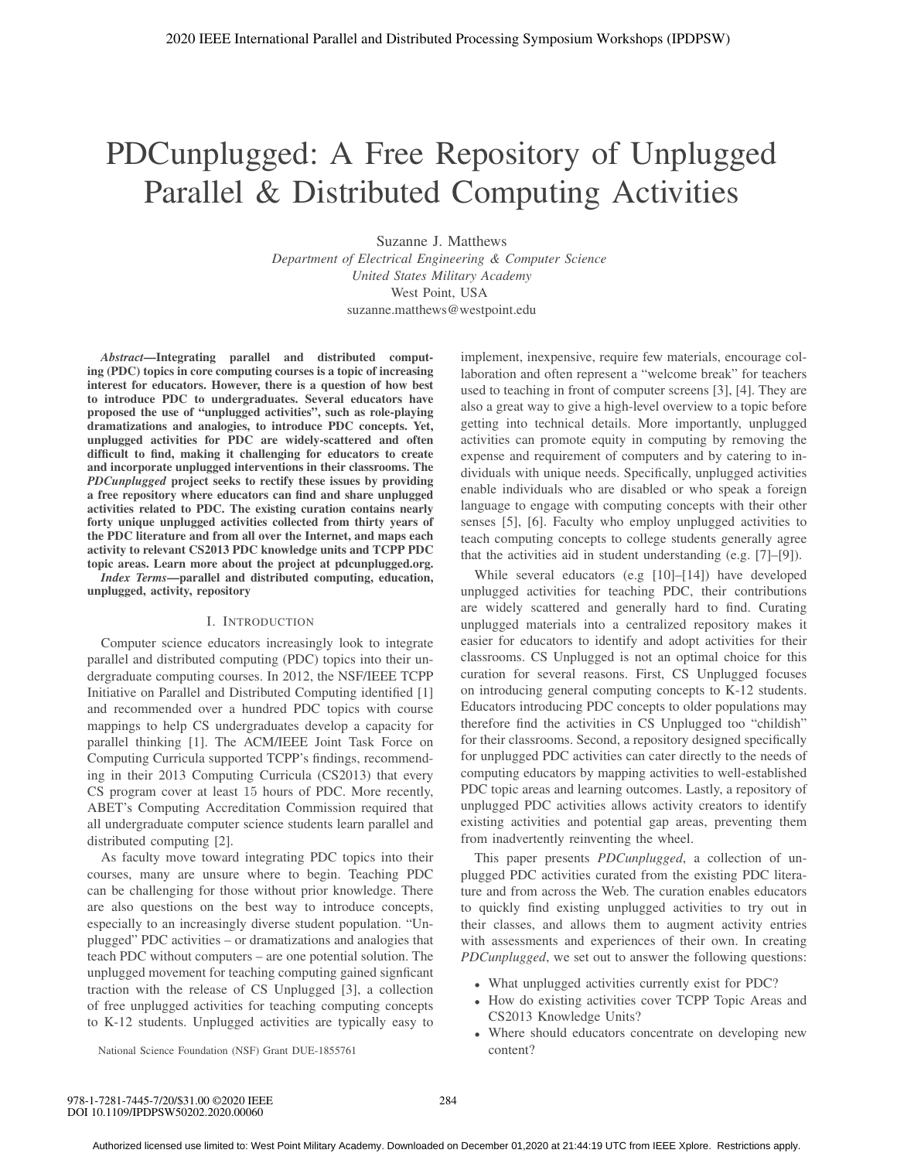# PDCunplugged: A Free Repository of Unplugged Parallel & Distributed Computing Activities

Suzanne J. Matthews *Department of Electrical Engineering & Computer Science United States Military Academy* West Point, USA suzanne.matthews@westpoint.edu

*Abstract*—Integrating parallel and distributed computing (PDC) topics in core computing courses is a topic of increasing interest for educators. However, there is a question of how best to introduce PDC to undergraduates. Several educators have proposed the use of "unplugged activities", such as role-playing dramatizations and analogies, to introduce PDC concepts. Yet, unplugged activities for PDC are widely-scattered and often difficult to find, making it challenging for educators to create and incorporate unplugged interventions in their classrooms. The *PDCunplugged* project seeks to rectify these issues by providing a free repository where educators can find and share unplugged activities related to PDC. The existing curation contains nearly forty unique unplugged activities collected from thirty years of the PDC literature and from all over the Internet, and maps each activity to relevant CS2013 PDC knowledge units and TCPP PDC topic areas. Learn more about the project at pdcunplugged.org. *Index Terms*—parallel and distributed computing, education, unplugged, activity, repository

#### I. INTRODUCTION

Computer science educators increasingly look to integrate parallel and distributed computing (PDC) topics into their undergraduate computing courses. In 2012, the NSF/IEEE TCPP Initiative on Parallel and Distributed Computing identified [1] and recommended over a hundred PDC topics with course mappings to help CS undergraduates develop a capacity for parallel thinking [1]. The ACM/IEEE Joint Task Force on Computing Curricula supported TCPP's findings, recommending in their 2013 Computing Curricula (CS2013) that every CS program cover at least 15 hours of PDC. More recently, ABET's Computing Accreditation Commission required that all undergraduate computer science students learn parallel and distributed computing [2].

As faculty move toward integrating PDC topics into their courses, many are unsure where to begin. Teaching PDC can be challenging for those without prior knowledge. There are also questions on the best way to introduce concepts, especially to an increasingly diverse student population. "Unplugged" PDC activities – or dramatizations and analogies that teach PDC without computers – are one potential solution. The unplugged movement for teaching computing gained signficant traction with the release of CS Unplugged [3], a collection of free unplugged activities for teaching computing concepts to K-12 students. Unplugged activities are typically easy to implement, inexpensive, require few materials, encourage collaboration and often represent a "welcome break" for teachers used to teaching in front of computer screens [3], [4]. They are also a great way to give a high-level overview to a topic before getting into technical details. More importantly, unplugged activities can promote equity in computing by removing the expense and requirement of computers and by catering to individuals with unique needs. Specifically, unplugged activities enable individuals who are disabled or who speak a foreign language to engage with computing concepts with their other senses [5], [6]. Faculty who employ unplugged activities to teach computing concepts to college students generally agree that the activities aid in student understanding (e.g. [7]–[9]).

While several educators (e.g [10]–[14]) have developed unplugged activities for teaching PDC, their contributions are widely scattered and generally hard to find. Curating unplugged materials into a centralized repository makes it easier for educators to identify and adopt activities for their classrooms. CS Unplugged is not an optimal choice for this curation for several reasons. First, CS Unplugged focuses on introducing general computing concepts to K-12 students. Educators introducing PDC concepts to older populations may therefore find the activities in CS Unplugged too "childish" for their classrooms. Second, a repository designed specifically for unplugged PDC activities can cater directly to the needs of computing educators by mapping activities to well-established PDC topic areas and learning outcomes. Lastly, a repository of unplugged PDC activities allows activity creators to identify existing activities and potential gap areas, preventing them from inadvertently reinventing the wheel.

This paper presents *PDCunplugged*, a collection of unplugged PDC activities curated from the existing PDC literature and from across the Web. The curation enables educators to quickly find existing unplugged activities to try out in their classes, and allows them to augment activity entries with assessments and experiences of their own. In creating *PDCunplugged*, we set out to answer the following questions:

- What unplugged activities currently exist for PDC?
- How do existing activities cover TCPP Topic Areas and CS2013 Knowledge Units?
- Where should educators concentrate on developing new content?

National Science Foundation (NSF) Grant DUE-1855761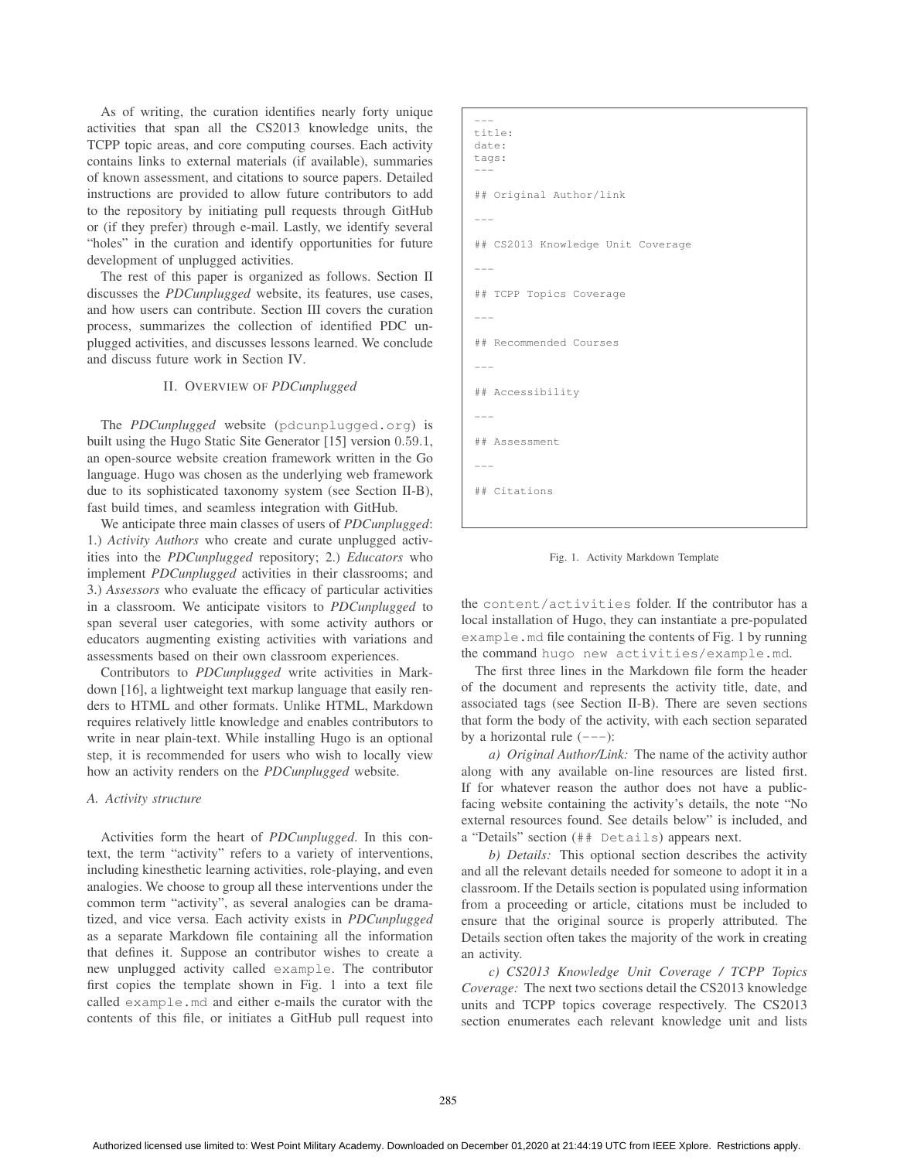As of writing, the curation identifies nearly forty unique activities that span all the CS2013 knowledge units, the TCPP topic areas, and core computing courses. Each activity contains links to external materials (if available), summaries of known assessment, and citations to source papers. Detailed instructions are provided to allow future contributors to add to the repository by initiating pull requests through GitHub or (if they prefer) through e-mail. Lastly, we identify several "holes" in the curation and identify opportunities for future development of unplugged activities.

The rest of this paper is organized as follows. Section II discusses the *PDCunplugged* website, its features, use cases, and how users can contribute. Section III covers the curation process, summarizes the collection of identified PDC unplugged activities, and discusses lessons learned. We conclude and discuss future work in Section IV.

## II. OVERVIEW OF *PDCunplugged*

The *PDCunplugged* website (pdcunplugged.org) is built using the Hugo Static Site Generator [15] version 0.59.1, an open-source website creation framework written in the Go language. Hugo was chosen as the underlying web framework due to its sophisticated taxonomy system (see Section II-B), fast build times, and seamless integration with GitHub.

We anticipate three main classes of users of *PDCunplugged*: 1.) *Activity Authors* who create and curate unplugged activities into the *PDCunplugged* repository; 2.) *Educators* who implement *PDCunplugged* activities in their classrooms; and 3.) *Assessors* who evaluate the efficacy of particular activities in a classroom. We anticipate visitors to *PDCunplugged* to span several user categories, with some activity authors or educators augmenting existing activities with variations and assessments based on their own classroom experiences.

Contributors to *PDCunplugged* write activities in Markdown [16], a lightweight text markup language that easily renders to HTML and other formats. Unlike HTML, Markdown requires relatively little knowledge and enables contributors to write in near plain-text. While installing Hugo is an optional step, it is recommended for users who wish to locally view how an activity renders on the *PDCunplugged* website.

#### *A. Activity structure*

Activities form the heart of *PDCunplugged*. In this context, the term "activity" refers to a variety of interventions, including kinesthetic learning activities, role-playing, and even analogies. We choose to group all these interventions under the common term "activity", as several analogies can be dramatized, and vice versa. Each activity exists in *PDCunplugged* as a separate Markdown file containing all the information that defines it. Suppose an contributor wishes to create a new unplugged activity called example. The contributor first copies the template shown in Fig. 1 into a text file called example.md and either e-mails the curator with the contents of this file, or initiates a GitHub pull request into

```
---
title:
date:
tags:
---
## Original Author/link
---
## CS2013 Knowledge Unit Coverage
---
## TCPP Topics Coverage
---
## Recommended Courses
---
## Accessibility
---
## Assessment
---
## Citations
```


the content/activities folder. If the contributor has a local installation of Hugo, they can instantiate a pre-populated example.md file containing the contents of Fig. 1 by running the command hugo new activities/example.md.

The first three lines in the Markdown file form the header of the document and represents the activity title, date, and associated tags (see Section II-B). There are seven sections that form the body of the activity, with each section separated by a horizontal rule  $(---)$ :

*a) Original Author/Link:* The name of the activity author along with any available on-line resources are listed first. If for whatever reason the author does not have a publicfacing website containing the activity's details, the note "No external resources found. See details below" is included, and a "Details" section (## Details) appears next.

*b) Details:* This optional section describes the activity and all the relevant details needed for someone to adopt it in a classroom. If the Details section is populated using information from a proceeding or article, citations must be included to ensure that the original source is properly attributed. The Details section often takes the majority of the work in creating an activity.

*c) CS2013 Knowledge Unit Coverage / TCPP Topics Coverage:* The next two sections detail the CS2013 knowledge units and TCPP topics coverage respectively. The CS2013 section enumerates each relevant knowledge unit and lists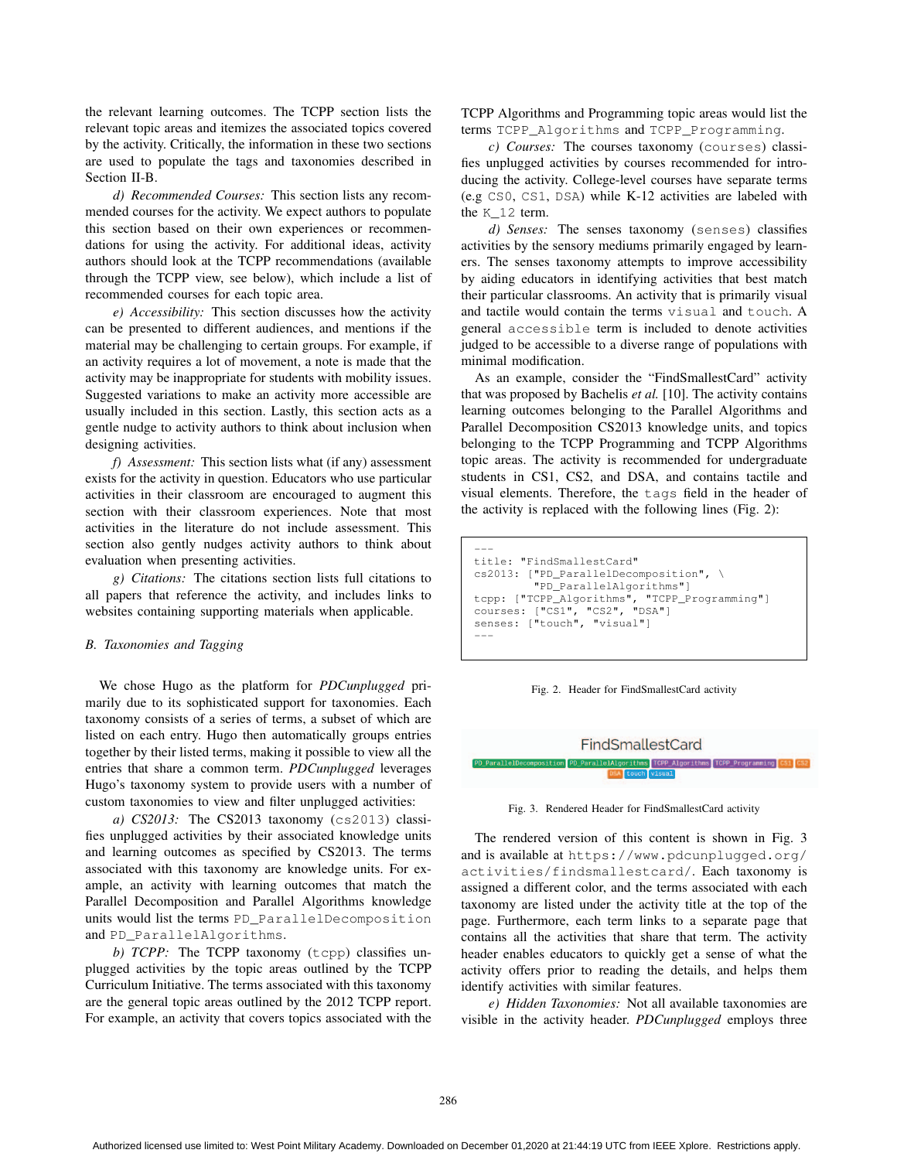the relevant learning outcomes. The TCPP section lists the relevant topic areas and itemizes the associated topics covered by the activity. Critically, the information in these two sections are used to populate the tags and taxonomies described in Section II-B.

*d) Recommended Courses:* This section lists any recommended courses for the activity. We expect authors to populate this section based on their own experiences or recommendations for using the activity. For additional ideas, activity authors should look at the TCPP recommendations (available through the TCPP view, see below), which include a list of recommended courses for each topic area.

*e) Accessibility:* This section discusses how the activity can be presented to different audiences, and mentions if the material may be challenging to certain groups. For example, if an activity requires a lot of movement, a note is made that the activity may be inappropriate for students with mobility issues. Suggested variations to make an activity more accessible are usually included in this section. Lastly, this section acts as a gentle nudge to activity authors to think about inclusion when designing activities.

*f) Assessment:* This section lists what (if any) assessment exists for the activity in question. Educators who use particular activities in their classroom are encouraged to augment this section with their classroom experiences. Note that most activities in the literature do not include assessment. This section also gently nudges activity authors to think about evaluation when presenting activities.

*g) Citations:* The citations section lists full citations to all papers that reference the activity, and includes links to websites containing supporting materials when applicable.

## *B. Taxonomies and Tagging*

We chose Hugo as the platform for *PDCunplugged* primarily due to its sophisticated support for taxonomies. Each taxonomy consists of a series of terms, a subset of which are listed on each entry. Hugo then automatically groups entries together by their listed terms, making it possible to view all the entries that share a common term. *PDCunplugged* leverages Hugo's taxonomy system to provide users with a number of custom taxonomies to view and filter unplugged activities:

*a) CS2013:* The CS2013 taxonomy (cs2013) classifies unplugged activities by their associated knowledge units and learning outcomes as specified by CS2013. The terms associated with this taxonomy are knowledge units. For example, an activity with learning outcomes that match the Parallel Decomposition and Parallel Algorithms knowledge units would list the terms PD\_ParallelDecomposition and PD\_ParallelAlgorithms.

*b) TCPP:* The TCPP taxonomy (tcpp) classifies unplugged activities by the topic areas outlined by the TCPP Curriculum Initiative. The terms associated with this taxonomy are the general topic areas outlined by the 2012 TCPP report. For example, an activity that covers topics associated with the TCPP Algorithms and Programming topic areas would list the terms TCPP\_Algorithms and TCPP\_Programming.

*c) Courses:* The courses taxonomy (courses) classifies unplugged activities by courses recommended for introducing the activity. College-level courses have separate terms (e.g CS0, CS1, DSA) while K-12 activities are labeled with the K 12 term.

*d) Senses:* The senses taxonomy (senses) classifies activities by the sensory mediums primarily engaged by learners. The senses taxonomy attempts to improve accessibility by aiding educators in identifying activities that best match their particular classrooms. An activity that is primarily visual and tactile would contain the terms visual and touch. A general accessible term is included to denote activities judged to be accessible to a diverse range of populations with minimal modification.

As an example, consider the "FindSmallestCard" activity that was proposed by Bachelis *et al.* [10]. The activity contains learning outcomes belonging to the Parallel Algorithms and Parallel Decomposition CS2013 knowledge units, and topics belonging to the TCPP Programming and TCPP Algorithms topic areas. The activity is recommended for undergraduate students in CS1, CS2, and DSA, and contains tactile and visual elements. Therefore, the tags field in the header of the activity is replaced with the following lines (Fig. 2):

```
---
title: "FindSmallestCard"
cs2013: ["PD_ParallelDecomposition", \
         "PD_ParallelAlgorithms"]
tcpp: ["TCPP_Algorithms", "TCPP_Programming"]
courses: ["CS1", "CS2", "DSA"]
senses: ["touch", "visual"]
---
```






Fig. 3. Rendered Header for FindSmallestCard activity

The rendered version of this content is shown in Fig. 3 and is available at https://www.pdcunplugged.org/ activities/findsmallestcard/. Each taxonomy is assigned a different color, and the terms associated with each taxonomy are listed under the activity title at the top of the page. Furthermore, each term links to a separate page that contains all the activities that share that term. The activity header enables educators to quickly get a sense of what the activity offers prior to reading the details, and helps them identify activities with similar features.

*e) Hidden Taxonomies:* Not all available taxonomies are visible in the activity header. *PDCunplugged* employs three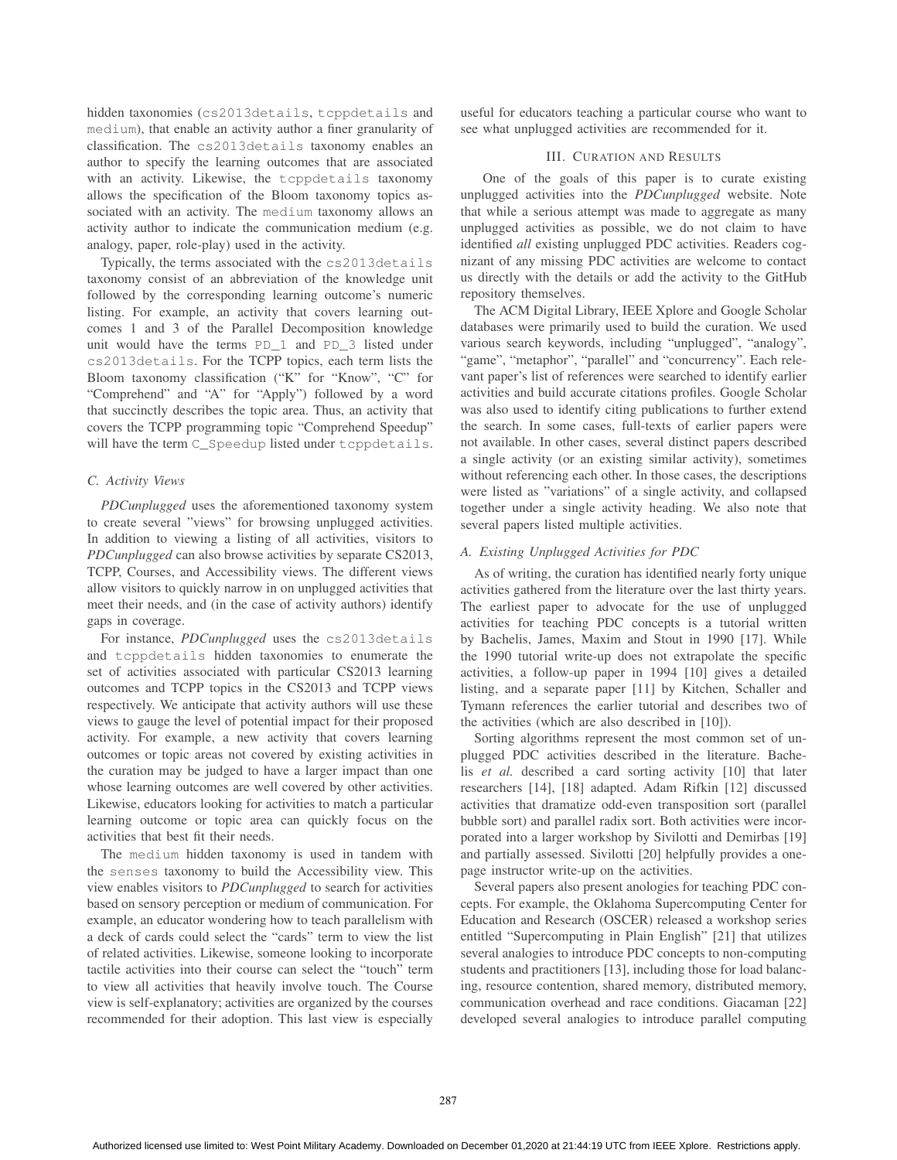hidden taxonomies (cs2013details, tcppdetails and medium), that enable an activity author a finer granularity of classification. The cs2013details taxonomy enables an author to specify the learning outcomes that are associated with an activity. Likewise, the tcppdetails taxonomy allows the specification of the Bloom taxonomy topics associated with an activity. The medium taxonomy allows an activity author to indicate the communication medium (e.g. analogy, paper, role-play) used in the activity.

Typically, the terms associated with the cs2013details taxonomy consist of an abbreviation of the knowledge unit followed by the corresponding learning outcome's numeric listing. For example, an activity that covers learning outcomes 1 and 3 of the Parallel Decomposition knowledge unit would have the terms PD\_1 and PD\_3 listed under cs2013details. For the TCPP topics, each term lists the Bloom taxonomy classification ("K" for "Know", "C" for "Comprehend" and "A" for "Apply") followed by a word that succinctly describes the topic area. Thus, an activity that covers the TCPP programming topic "Comprehend Speedup" will have the term C\_Speedup listed under tcppdetails.

## *C. Activity Views*

*PDCunplugged* uses the aforementioned taxonomy system to create several "views" for browsing unplugged activities. In addition to viewing a listing of all activities, visitors to *PDCunplugged* can also browse activities by separate CS2013, TCPP, Courses, and Accessibility views. The different views allow visitors to quickly narrow in on unplugged activities that meet their needs, and (in the case of activity authors) identify gaps in coverage.

For instance, *PDCunplugged* uses the cs2013details and tcppdetails hidden taxonomies to enumerate the set of activities associated with particular CS2013 learning outcomes and TCPP topics in the CS2013 and TCPP views respectively. We anticipate that activity authors will use these views to gauge the level of potential impact for their proposed activity. For example, a new activity that covers learning outcomes or topic areas not covered by existing activities in the curation may be judged to have a larger impact than one whose learning outcomes are well covered by other activities. Likewise, educators looking for activities to match a particular learning outcome or topic area can quickly focus on the activities that best fit their needs.

The medium hidden taxonomy is used in tandem with the senses taxonomy to build the Accessibility view. This view enables visitors to *PDCunplugged* to search for activities based on sensory perception or medium of communication. For example, an educator wondering how to teach parallelism with a deck of cards could select the "cards" term to view the list of related activities. Likewise, someone looking to incorporate tactile activities into their course can select the "touch" term to view all activities that heavily involve touch. The Course view is self-explanatory; activities are organized by the courses recommended for their adoption. This last view is especially

useful for educators teaching a particular course who want to see what unplugged activities are recommended for it.

#### III. CURATION AND RESULTS

One of the goals of this paper is to curate existing unplugged activities into the *PDCunplugged* website. Note that while a serious attempt was made to aggregate as many unplugged activities as possible, we do not claim to have identified *all* existing unplugged PDC activities. Readers cognizant of any missing PDC activities are welcome to contact us directly with the details or add the activity to the GitHub repository themselves.

The ACM Digital Library, IEEE Xplore and Google Scholar databases were primarily used to build the curation. We used various search keywords, including "unplugged", "analogy", "game", "metaphor", "parallel" and "concurrency". Each relevant paper's list of references were searched to identify earlier activities and build accurate citations profiles. Google Scholar was also used to identify citing publications to further extend the search. In some cases, full-texts of earlier papers were not available. In other cases, several distinct papers described a single activity (or an existing similar activity), sometimes without referencing each other. In those cases, the descriptions were listed as "variations" of a single activity, and collapsed together under a single activity heading. We also note that several papers listed multiple activities.

#### *A. Existing Unplugged Activities for PDC*

As of writing, the curation has identified nearly forty unique activities gathered from the literature over the last thirty years. The earliest paper to advocate for the use of unplugged activities for teaching PDC concepts is a tutorial written by Bachelis, James, Maxim and Stout in 1990 [17]. While the 1990 tutorial write-up does not extrapolate the specific activities, a follow-up paper in 1994 [10] gives a detailed listing, and a separate paper [11] by Kitchen, Schaller and Tymann references the earlier tutorial and describes two of the activities (which are also described in [10]).

Sorting algorithms represent the most common set of unplugged PDC activities described in the literature. Bachelis *et al.* described a card sorting activity [10] that later researchers [14], [18] adapted. Adam Rifkin [12] discussed activities that dramatize odd-even transposition sort (parallel bubble sort) and parallel radix sort. Both activities were incorporated into a larger workshop by Sivilotti and Demirbas [19] and partially assessed. Sivilotti [20] helpfully provides a onepage instructor write-up on the activities.

Several papers also present anologies for teaching PDC concepts. For example, the Oklahoma Supercomputing Center for Education and Research (OSCER) released a workshop series entitled "Supercomputing in Plain English" [21] that utilizes several analogies to introduce PDC concepts to non-computing students and practitioners [13], including those for load balancing, resource contention, shared memory, distributed memory, communication overhead and race conditions. Giacaman [22] developed several analogies to introduce parallel computing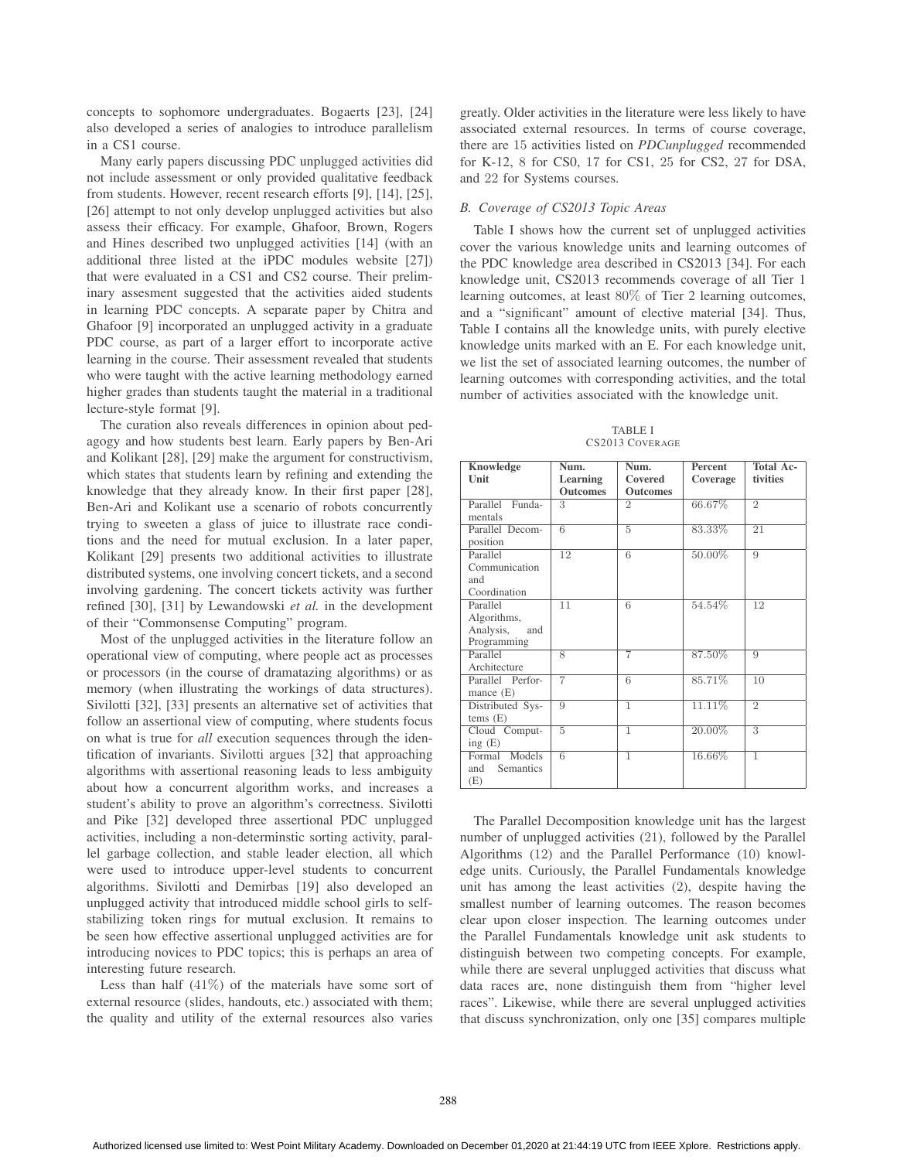concepts to sophomore undergraduates. Bogaerts [23], [24] also developed a series of analogies to introduce parallelism in a CS1 course.

Many early papers discussing PDC unplugged activities did not include assessment or only provided qualitative feedback from students. However, recent research efforts [9], [14], [25], [26] attempt to not only develop unplugged activities but also assess their efficacy. For example, Ghafoor, Brown, Rogers and Hines described two unplugged activities [14] (with an additional three listed at the iPDC modules website [27]) that were evaluated in a CS1 and CS2 course. Their preliminary assesment suggested that the activities aided students in learning PDC concepts. A separate paper by Chitra and Ghafoor [9] incorporated an unplugged activity in a graduate PDC course, as part of a larger effort to incorporate active learning in the course. Their assessment revealed that students who were taught with the active learning methodology earned higher grades than students taught the material in a traditional lecture-style format [9].

The curation also reveals differences in opinion about pedagogy and how students best learn. Early papers by Ben-Ari and Kolikant [28], [29] make the argument for constructivism, which states that students learn by refining and extending the knowledge that they already know. In their first paper [28], Ben-Ari and Kolikant use a scenario of robots concurrently trying to sweeten a glass of juice to illustrate race conditions and the need for mutual exclusion. In a later paper, Kolikant [29] presents two additional activities to illustrate distributed systems, one involving concert tickets, and a second involving gardening. The concert tickets activity was further refined [30], [31] by Lewandowski *et al.* in the development of their "Commonsense Computing" program.

Most of the unplugged activities in the literature follow an operational view of computing, where people act as processes or processors (in the course of dramatazing algorithms) or as memory (when illustrating the workings of data structures). Sivilotti [32], [33] presents an alternative set of activities that follow an assertional view of computing, where students focus on what is true for *all* execution sequences through the identification of invariants. Sivilotti argues [32] that approaching algorithms with assertional reasoning leads to less ambiguity about how a concurrent algorithm works, and increases a student's ability to prove an algorithm's correctness. Sivilotti and Pike [32] developed three assertional PDC unplugged activities, including a non-determinstic sorting activity, parallel garbage collection, and stable leader election, all which were used to introduce upper-level students to concurrent algorithms. Sivilotti and Demirbas [19] also developed an unplugged activity that introduced middle school girls to selfstabilizing token rings for mutual exclusion. It remains to be seen how effective assertional unplugged activities are for introducing novices to PDC topics; this is perhaps an area of interesting future research.

Less than half  $(41\%)$  of the materials have some sort of external resource (slides, handouts, etc.) associated with them; the quality and utility of the external resources also varies greatly. Older activities in the literature were less likely to have associated external resources. In terms of course coverage, there are 15 activities listed on *PDCunplugged* recommended for K-12, 8 for CS0, 17 for CS1, 25 for CS2, 27 for DSA, and 22 for Systems courses.

#### *B. Coverage of CS2013 Topic Areas*

Table I shows how the current set of unplugged activities cover the various knowledge units and learning outcomes of the PDC knowledge area described in CS2013 [34]. For each knowledge unit, CS2013 recommends coverage of all Tier 1 learning outcomes, at least 80% of Tier 2 learning outcomes, and a "significant" amount of elective material [34]. Thus, Table I contains all the knowledge units, with purely elective knowledge units marked with an E. For each knowledge unit, we list the set of associated learning outcomes, the number of learning outcomes with corresponding activities, and the total number of activities associated with the knowledge unit.

TABLE I CS2013 COVERAGE

| <b>Knowledge</b><br>Unit                                   | Num.<br>Learning | Num.<br>Covered | Percent<br>Coverage | Total Ac-<br>tivities |
|------------------------------------------------------------|------------------|-----------------|---------------------|-----------------------|
|                                                            | <b>Outcomes</b>  | <b>Outcomes</b> |                     |                       |
| Parallel<br>Funda-<br>mentals                              | 3                | $\overline{2}$  | 66.67%              | $\overline{2}$        |
| Parallel Decom-<br>position                                | $\overline{6}$   | 5               | 83.33%              | 21                    |
| Parallel<br>Communication<br>and<br>Coordination           | 12               | 6               | 50.00%              | 9                     |
| Parallel<br>Algorithms,<br>Analysis,<br>and<br>Programming | 11               | $\overline{6}$  | 54.54%              | 12                    |
| Parallel<br>Architecture                                   | $\overline{8}$   | 7               | 87.50%              | 9                     |
| Parallel Perfor-<br>mance $(E)$                            | $\overline{7}$   | 6               | 85.71%              | 10                    |
| Distributed Sys-<br>tems(E)                                | 9                | ī               | 11.11%              | $\overline{2}$        |
| Cloud Comput-<br>ing $(E)$                                 | 5                | ī               | 20.00%              | $\overline{3}$        |
| Formal Models<br>and<br>Semantics<br>(E)                   | 6                | ī               | 16.66%              | $\overline{1}$        |

The Parallel Decomposition knowledge unit has the largest number of unplugged activities (21), followed by the Parallel Algorithms (12) and the Parallel Performance (10) knowledge units. Curiously, the Parallel Fundamentals knowledge unit has among the least activities (2), despite having the smallest number of learning outcomes. The reason becomes clear upon closer inspection. The learning outcomes under the Parallel Fundamentals knowledge unit ask students to distinguish between two competing concepts. For example, while there are several unplugged activities that discuss what data races are, none distinguish them from "higher level races". Likewise, while there are several unplugged activities that discuss synchronization, only one [35] compares multiple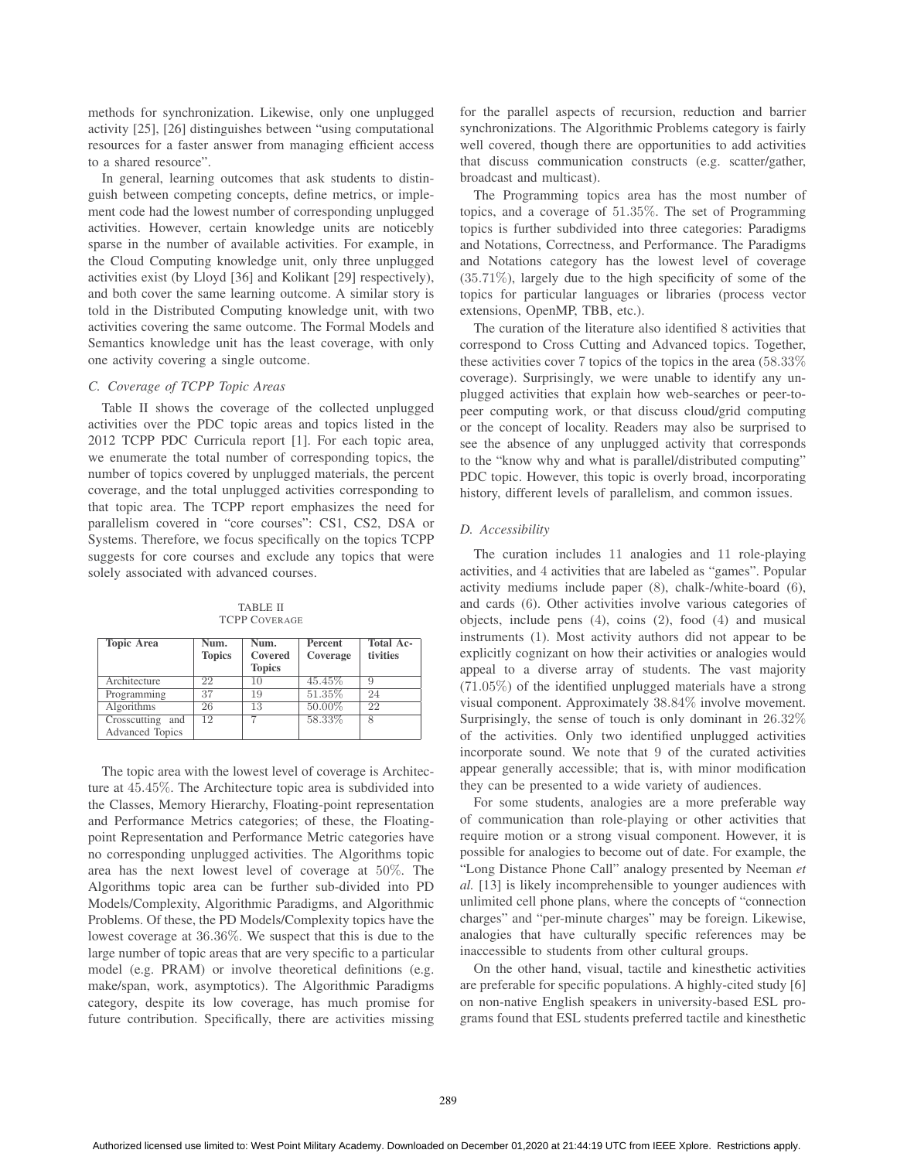methods for synchronization. Likewise, only one unplugged activity [25], [26] distinguishes between "using computational resources for a faster answer from managing efficient access to a shared resource".

In general, learning outcomes that ask students to distinguish between competing concepts, define metrics, or implement code had the lowest number of corresponding unplugged activities. However, certain knowledge units are noticebly sparse in the number of available activities. For example, in the Cloud Computing knowledge unit, only three unplugged activities exist (by Lloyd [36] and Kolikant [29] respectively), and both cover the same learning outcome. A similar story is told in the Distributed Computing knowledge unit, with two activities covering the same outcome. The Formal Models and Semantics knowledge unit has the least coverage, with only one activity covering a single outcome.

# *C. Coverage of TCPP Topic Areas*

Table II shows the coverage of the collected unplugged activities over the PDC topic areas and topics listed in the 2012 TCPP PDC Curricula report [1]. For each topic area, we enumerate the total number of corresponding topics, the number of topics covered by unplugged materials, the percent coverage, and the total unplugged activities corresponding to that topic area. The TCPP report emphasizes the need for parallelism covered in "core courses": CS1, CS2, DSA or Systems. Therefore, we focus specifically on the topics TCPP suggests for core courses and exclude any topics that were solely associated with advanced courses.

TABLE II TCPP COVERAGE

| <b>Topic Area</b>      | Num.          | Num.          | Percent  | Total Ac- |
|------------------------|---------------|---------------|----------|-----------|
|                        | <b>Topics</b> | Covered       | Coverage | tivities  |
|                        |               | <b>Topics</b> |          |           |
| Architecture           | 22            | 10            | 45.45%   | 9         |
| Programming            | 37            | 19            | 51.35%   | 24        |
| Algorithms             | 26            | 13            | 50.00%   | 22        |
| Crosscutting and       | 12            | ↣             | 58.33%   | 8         |
| <b>Advanced Topics</b> |               |               |          |           |

The topic area with the lowest level of coverage is Architecture at 45.45%. The Architecture topic area is subdivided into the Classes, Memory Hierarchy, Floating-point representation and Performance Metrics categories; of these, the Floatingpoint Representation and Performance Metric categories have no corresponding unplugged activities. The Algorithms topic area has the next lowest level of coverage at 50%. The Algorithms topic area can be further sub-divided into PD Models/Complexity, Algorithmic Paradigms, and Algorithmic Problems. Of these, the PD Models/Complexity topics have the lowest coverage at 36.36%. We suspect that this is due to the large number of topic areas that are very specific to a particular model (e.g. PRAM) or involve theoretical definitions (e.g. make/span, work, asymptotics). The Algorithmic Paradigms category, despite its low coverage, has much promise for future contribution. Specifically, there are activities missing for the parallel aspects of recursion, reduction and barrier synchronizations. The Algorithmic Problems category is fairly well covered, though there are opportunities to add activities that discuss communication constructs (e.g. scatter/gather, broadcast and multicast).

The Programming topics area has the most number of topics, and a coverage of 51.35%. The set of Programming topics is further subdivided into three categories: Paradigms and Notations, Correctness, and Performance. The Paradigms and Notations category has the lowest level of coverage (35.71%), largely due to the high specificity of some of the topics for particular languages or libraries (process vector extensions, OpenMP, TBB, etc.).

The curation of the literature also identified 8 activities that correspond to Cross Cutting and Advanced topics. Together, these activities cover 7 topics of the topics in the area (58.33% coverage). Surprisingly, we were unable to identify any unplugged activities that explain how web-searches or peer-topeer computing work, or that discuss cloud/grid computing or the concept of locality. Readers may also be surprised to see the absence of any unplugged activity that corresponds to the "know why and what is parallel/distributed computing" PDC topic. However, this topic is overly broad, incorporating history, different levels of parallelism, and common issues.

# *D. Accessibility*

The curation includes 11 analogies and 11 role-playing activities, and 4 activities that are labeled as "games". Popular activity mediums include paper (8), chalk-/white-board (6), and cards (6). Other activities involve various categories of objects, include pens (4), coins (2), food (4) and musical instruments (1). Most activity authors did not appear to be explicitly cognizant on how their activities or analogies would appeal to a diverse array of students. The vast majority (71.05%) of the identified unplugged materials have a strong visual component. Approximately 38.84% involve movement. Surprisingly, the sense of touch is only dominant in 26.32% of the activities. Only two identified unplugged activities incorporate sound. We note that 9 of the curated activities appear generally accessible; that is, with minor modification they can be presented to a wide variety of audiences.

For some students, analogies are a more preferable way of communication than role-playing or other activities that require motion or a strong visual component. However, it is possible for analogies to become out of date. For example, the "Long Distance Phone Call" analogy presented by Neeman *et al.* [13] is likely incomprehensible to younger audiences with unlimited cell phone plans, where the concepts of "connection charges" and "per-minute charges" may be foreign. Likewise, analogies that have culturally specific references may be inaccessible to students from other cultural groups.

On the other hand, visual, tactile and kinesthetic activities are preferable for specific populations. A highly-cited study [6] on non-native English speakers in university-based ESL programs found that ESL students preferred tactile and kinesthetic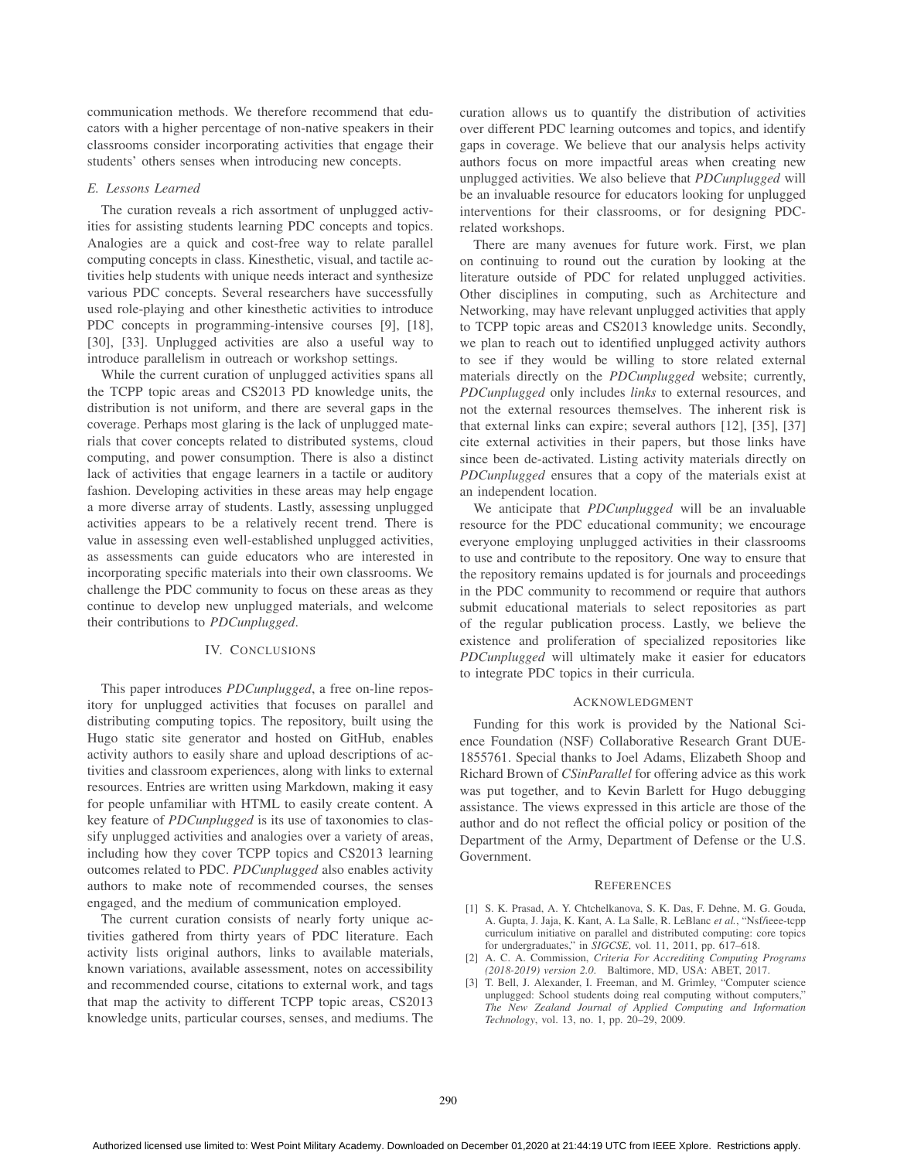communication methods. We therefore recommend that educators with a higher percentage of non-native speakers in their classrooms consider incorporating activities that engage their students' others senses when introducing new concepts.

#### *E. Lessons Learned*

The curation reveals a rich assortment of unplugged activities for assisting students learning PDC concepts and topics. Analogies are a quick and cost-free way to relate parallel computing concepts in class. Kinesthetic, visual, and tactile activities help students with unique needs interact and synthesize various PDC concepts. Several researchers have successfully used role-playing and other kinesthetic activities to introduce PDC concepts in programming-intensive courses [9], [18], [30], [33]. Unplugged activities are also a useful way to introduce parallelism in outreach or workshop settings.

While the current curation of unplugged activities spans all the TCPP topic areas and CS2013 PD knowledge units, the distribution is not uniform, and there are several gaps in the coverage. Perhaps most glaring is the lack of unplugged materials that cover concepts related to distributed systems, cloud computing, and power consumption. There is also a distinct lack of activities that engage learners in a tactile or auditory fashion. Developing activities in these areas may help engage a more diverse array of students. Lastly, assessing unplugged activities appears to be a relatively recent trend. There is value in assessing even well-established unplugged activities, as assessments can guide educators who are interested in incorporating specific materials into their own classrooms. We challenge the PDC community to focus on these areas as they continue to develop new unplugged materials, and welcome their contributions to *PDCunplugged*.

## IV. CONCLUSIONS

This paper introduces *PDCunplugged*, a free on-line repository for unplugged activities that focuses on parallel and distributing computing topics. The repository, built using the Hugo static site generator and hosted on GitHub, enables activity authors to easily share and upload descriptions of activities and classroom experiences, along with links to external resources. Entries are written using Markdown, making it easy for people unfamiliar with HTML to easily create content. A key feature of *PDCunplugged* is its use of taxonomies to classify unplugged activities and analogies over a variety of areas, including how they cover TCPP topics and CS2013 learning outcomes related to PDC. *PDCunplugged* also enables activity authors to make note of recommended courses, the senses engaged, and the medium of communication employed.

The current curation consists of nearly forty unique activities gathered from thirty years of PDC literature. Each activity lists original authors, links to available materials, known variations, available assessment, notes on accessibility and recommended course, citations to external work, and tags that map the activity to different TCPP topic areas, CS2013 knowledge units, particular courses, senses, and mediums. The

curation allows us to quantify the distribution of activities over different PDC learning outcomes and topics, and identify gaps in coverage. We believe that our analysis helps activity authors focus on more impactful areas when creating new unplugged activities. We also believe that *PDCunplugged* will be an invaluable resource for educators looking for unplugged interventions for their classrooms, or for designing PDCrelated workshops.

There are many avenues for future work. First, we plan on continuing to round out the curation by looking at the literature outside of PDC for related unplugged activities. Other disciplines in computing, such as Architecture and Networking, may have relevant unplugged activities that apply to TCPP topic areas and CS2013 knowledge units. Secondly, we plan to reach out to identified unplugged activity authors to see if they would be willing to store related external materials directly on the *PDCunplugged* website; currently, *PDCunplugged* only includes *links* to external resources, and not the external resources themselves. The inherent risk is that external links can expire; several authors [12], [35], [37] cite external activities in their papers, but those links have since been de-activated. Listing activity materials directly on *PDCunplugged* ensures that a copy of the materials exist at an independent location.

We anticipate that *PDCunplugged* will be an invaluable resource for the PDC educational community; we encourage everyone employing unplugged activities in their classrooms to use and contribute to the repository. One way to ensure that the repository remains updated is for journals and proceedings in the PDC community to recommend or require that authors submit educational materials to select repositories as part of the regular publication process. Lastly, we believe the existence and proliferation of specialized repositories like *PDCunplugged* will ultimately make it easier for educators to integrate PDC topics in their curricula.

#### ACKNOWLEDGMENT

Funding for this work is provided by the National Science Foundation (NSF) Collaborative Research Grant DUE-1855761. Special thanks to Joel Adams, Elizabeth Shoop and Richard Brown of *CSinParallel* for offering advice as this work was put together, and to Kevin Barlett for Hugo debugging assistance. The views expressed in this article are those of the author and do not reflect the official policy or position of the Department of the Army, Department of Defense or the U.S. Government.

#### **REFERENCES**

- [1] S. K. Prasad, A. Y. Chtchelkanova, S. K. Das, F. Dehne, M. G. Gouda, A. Gupta, J. Jaja, K. Kant, A. La Salle, R. LeBlanc *et al.*, "Nsf/ieee-tcpp curriculum initiative on parallel and distributed computing: core topics for undergraduates," in *SIGCSE*, vol. 11, 2011, pp. 617–618.
- [2] A. C. A. Commission, *Criteria For Accrediting Computing Programs (2018-2019) version 2.0*. Baltimore, MD, USA: ABET, 2017.
- [3] T. Bell, J. Alexander, I. Freeman, and M. Grimley, "Computer science unplugged: School students doing real computing without computers," *The New Zealand Journal of Applied Computing and Information Technology*, vol. 13, no. 1, pp. 20–29, 2009.